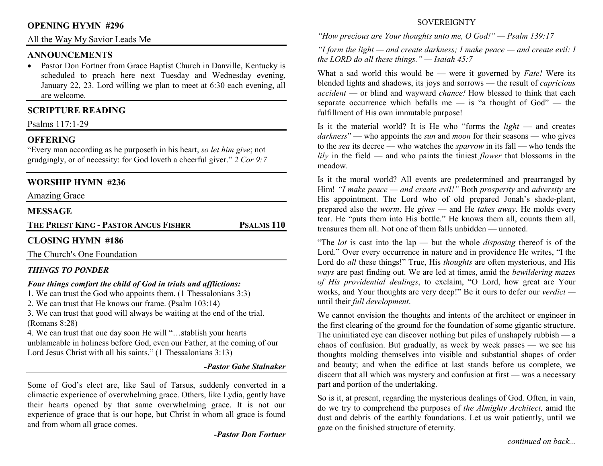#### **OPENING HYMN #296**

All the Way My Savior Leads Me

#### **ANNOUNCEMENTS**

• Pastor Don Fortner from Grace Baptist Church in Danville, Kentucky is scheduled to preach here next Tuesday and Wednesday evening, January 22, 23. Lord willing we plan to meet at 6:30 each evening, all are welcome.

### **SCRIPTURE READING**

Psalms 117:1-29

### **OFFERING**

 "Every man according as he purposeth in his heart, *so let him give*; not grudgingly, or of necessity: for God loveth a cheerful giver." *2 Cor 9:7*

## **WORSHIP HYMN #236**

Amazing Grace

#### **MESSAGE**

**THE PRIEST KING - <sup>P</sup>ASTOR ANGUS FISHER**

**PSALMS 110** 

# **CLOSING HYMN #186**

The Church's One Foundation

### *THINGS TO PONDER*

#### *Four things comfort the child of God in trials and afflictions:*

1. We can trust the God who appoints them. (1 Thessalonians 3:3)

2. We can trust that He knows our frame. (Psalm 103:14)

 3. We can trust that good will always be waiting at the end of the trial. (Romans 8:28)

 4. We can trust that one day soon He will "…stablish your hearts unblameable in holiness before God, even our Father, at the coming of our Lord Jesus Christ with all his saints." (1 Thessalonians 3:13)

#### *-Pastor Gabe Stalnaker*

Some of God's elect are, like Saul of Tarsus, suddenly converted in a climactic experience of overwhelming grace. Others, like Lydia, gently have their hearts opened by that same overwhelming grace. It is not our experience of grace that is our hope, but Christ in whom all grace is found and from whom all grace comes.

*-Pastor Don Fortner* 

#### **SOVEREIGNTY**

*"How precious are Your thoughts unto me, O God!" — Psalm 139:17* 

*"I form the light — and create darkness; I make peace — and create evil: I the LORD do all these things." — Isaiah 45:7* 

What a sad world this would be — were it governed by *Fate!* Were its blended lights and shadows, its joys and sorrows — the result of *capricious accident* — or blind and wayward *chance!* How blessed to think that each separate occurrence which befalls me  $-$  is "a thought of God"  $-$  the fulfillment of His own immutable purpose!

Is it the material world? It is He who "forms the *light* — and creates *darkness*" — who appoints the *sun* and *moon* for their seasons — who gives to the *sea* its decree — who watches the *sparrow* in its fall — who tends the *lily* in the field — and who paints the tiniest *flower* that blossoms in the meadow.

Is it the moral world? All events are predetermined and prearranged by Him! *"I make peace — and create evil!"* Both *prosperity* and *adversity* are His appointment. The Lord who of old prepared Jonah's shade-plant, prepared also the *worm*. He *gives* — and He *takes away*. He molds every tear. He "puts them into His bottle." He knows them all, counts them all, treasures them all. Not one of them falls unbidden — unnoted.

"The *lot* is cast into the lap — but the whole *disposing* thereof is of the Lord." Over every occurrence in nature and in providence He writes, "I the Lord do *all* these things!" True, His *thoughts* are often mysterious, and His *ways* are past finding out. We are led at times, amid the *bewildering mazes of His providential dealings*, to exclaim, "O Lord, how great are Your works, and Your thoughts are very deep!" Be it ours to defer our *verdict* until their *full development*.

We cannot envision the thoughts and intents of the architect or engineer in the first clearing of the ground for the foundation of some gigantic structure. The uninitiated eye can discover nothing but piles of unshapely rubbish — a chaos of confusion. But gradually, as week by week passes — we see his thoughts molding themselves into visible and substantial shapes of order and beauty; and when the edifice at last stands before us complete, we discern that all which was mystery and confusion at first — was a necessary part and portion of the undertaking.

So is it, at present, regarding the mysterious dealings of God. Often, in vain, do we try to comprehend the purposes of *the Almighty Architect,* amid the dust and debris of the earthly foundations. Let us wait patiently, until we gaze on the finished structure of eternity.